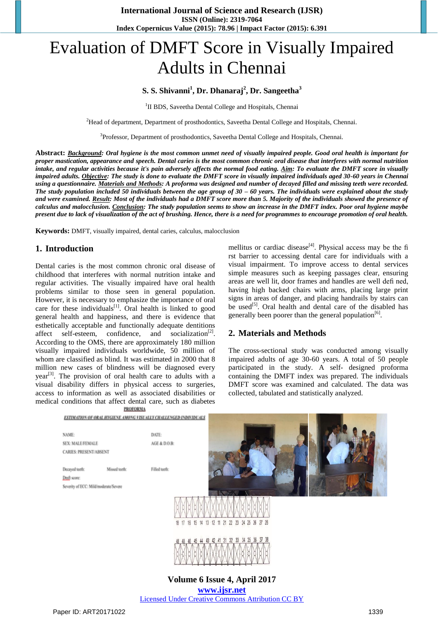# Evaluation of DMFT Score in Visually Impaired Adults in Chennai

# **S. S. Shivanni<sup>1</sup> , Dr. Dhanaraj<sup>2</sup> , Dr. Sangeetha<sup>3</sup>**

<sup>1</sup>II BDS, Saveetha Dental College and Hospitals, Chennai

<sup>2</sup>Head of department, Department of prosthodontics, Saveetha Dental College and Hospitals, Chennai.

<sup>3</sup>Professor, Department of prosthodontics, Saveetha Dental College and Hospitals, Chennai.

**Abstract:** *Background: Oral hygiene is the most common unmet need of visually impaired people. Good oral health is important for proper mastication, appearance and speech. Dental caries is the most common chronic oral disease that interferes with normal nutrition intake, and regular activities because it's pain adversely affects the normal food eating. Aim: To evaluate the DMFT score in visually impaired adults. Objective: The study is done to evaluate the DMFT score in visually impaired individuals aged 30-60 years in Chennai using a questionnaire. Materials and Methods: A proforma was designed and number of decayed filled and missing teeth were recorded. The study population included 50 individuals between the age group of 30 – 60 years. The individuals were explained about the study and were examined. Result: Most of the individuals had a DMFT score more than 5. Majority of the individuals showed the presence of calculus and malocclusion. Conclusion: The study population seems to show an increase in the DMFT index. Poor oral hygiene maybe present due to lack of visualization of the act of brushing. Hence, there is a need for programmes to encourage promotion of oral health.*

**Keywords:** DMFT, visually impaired, dental caries, calculus, malocclusion

## **1. Introduction**

Dental caries is the most common chronic oral disease of childhood that interferes with normal nutrition intake and regular activities. The visually impaired have oral health problems similar to those seen in general population. However, it is necessary to emphasize the importance of oral care for these individuals $^{[1]}$ . Oral health is linked to good general health and happiness, and there is evidence that esthetically acceptable and functionally adequate dentitions affect self-esteem, confidence, and socialization<sup>[2]</sup>. According to the OMS, there are approximately 180 million visually impaired individuals worldwide, 50 million of whom are classified as blind. It was estimated in 2000 that 8 million new cases of blindness will be diagnosed every  $year<sup>[3]</sup>$ . The provision of oral health care to adults with a visual disability differs in physical access to surgeries, access to information as well as associated disabilities or medical conditions that affect dental care, such as diabetes **PROFORMA** 

mellitus or cardiac disease<sup>[4]</sup>. Physical access may be the fi rst barrier to accessing dental care for individuals with a visual impairment. To improve access to dental services simple measures such as keeping passages clear, ensuring areas are well lit, door frames and handles are well defi ned, having high backed chairs with arms, placing large print signs in areas of danger, and placing handrails by stairs can be used<sup>[5]</sup>. Oral health and dental care of the disabled has generally been poorer than the general population<sup>[6]</sup>.

## **2. Materials and Methods**

The cross-sectional study was conducted among visually impaired adults of age 30-60 years. A total of 50 people participated in the study. A self- designed proforma containing the DMFT index was prepared. The individuals DMFT score was examined and calculated. The data was collected, tabulated and statistically analyzed.



**www.ijsr.net** Licensed Under Creative Commons Attribution CC BY